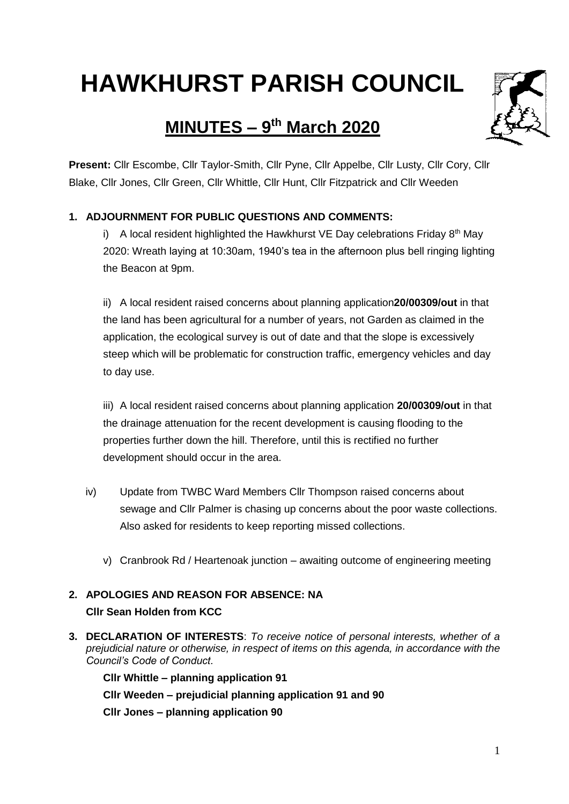# **HAWKHURST PARISH COUNCIL**

# **MINUTES – 9 th March 2020**



**Present:** Cllr Escombe, Cllr Taylor-Smith, Cllr Pyne, Cllr Appelbe, Cllr Lusty, Cllr Cory, Cllr Blake, Cllr Jones, Cllr Green, Cllr Whittle, Cllr Hunt, Cllr Fitzpatrick and Cllr Weeden

# **1. ADJOURNMENT FOR PUBLIC QUESTIONS AND COMMENTS:**

i) A local resident highlighted the Hawkhurst VE Day celebrations Friday  $8<sup>th</sup>$  May 2020: Wreath laying at 10:30am, 1940's tea in the afternoon plus bell ringing lighting the Beacon at 9pm.

ii) A local resident raised concerns about planning application**20/00309/out** in that the land has been agricultural for a number of years, not Garden as claimed in the application, the ecological survey is out of date and that the slope is excessively steep which will be problematic for construction traffic, emergency vehicles and day to day use.

iii) A local resident raised concerns about planning application **20/00309/out** in that the drainage attenuation for the recent development is causing flooding to the properties further down the hill. Therefore, until this is rectified no further development should occur in the area.

- iv) Update from TWBC Ward Members Cllr Thompson raised concerns about sewage and Cllr Palmer is chasing up concerns about the poor waste collections. Also asked for residents to keep reporting missed collections.
	- v) Cranbrook Rd / Heartenoak junction awaiting outcome of engineering meeting

# **2. APOLOGIES AND REASON FOR ABSENCE: NA Cllr Sean Holden from KCC**

**3. DECLARATION OF INTERESTS**: *To receive notice of personal interests, whether of a prejudicial nature or otherwise, in respect of items on this agenda, in accordance with the Council's Code of Conduct.*

**Cllr Whittle – planning application 91 Cllr Weeden – prejudicial planning application 91 and 90 Cllr Jones – planning application 90**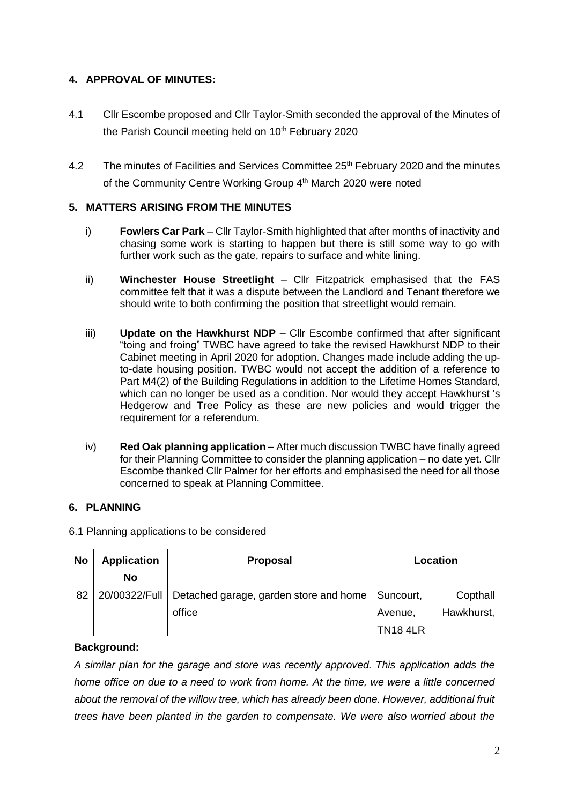#### **4. APPROVAL OF MINUTES:**

- 4.1 Cllr Escombe proposed and Cllr Taylor-Smith seconded the approval of the Minutes of the Parish Council meeting held on 10<sup>th</sup> February 2020
- 4.2 The minutes of Facilities and Services Committee 25<sup>th</sup> February 2020 and the minutes of the Community Centre Working Group 4<sup>th</sup> March 2020 were noted

# **5. MATTERS ARISING FROM THE MINUTES**

- i) **Fowlers Car Park** Cllr Taylor-Smith highlighted that after months of inactivity and chasing some work is starting to happen but there is still some way to go with further work such as the gate, repairs to surface and white lining.
- ii) **Winchester House Streetlight** Cllr Fitzpatrick emphasised that the FAS committee felt that it was a dispute between the Landlord and Tenant therefore we should write to both confirming the position that streetlight would remain.
- iii) **Update on the Hawkhurst NDP** Cllr Escombe confirmed that after significant "toing and froing" TWBC have agreed to take the revised Hawkhurst NDP to their Cabinet meeting in April 2020 for adoption. Changes made include adding the upto-date housing position. TWBC would not accept the addition of a reference to Part M4(2) of the Building Regulations in addition to the Lifetime Homes Standard, which can no longer be used as a condition. Nor would they accept Hawkhurst 's Hedgerow and Tree Policy as these are new policies and would trigger the requirement for a referendum.
- iv) **Red Oak planning application –** After much discussion TWBC have finally agreed for their Planning Committee to consider the planning application – no date yet. Cllr Escombe thanked Cllr Palmer for her efforts and emphasised the need for all those concerned to speak at Planning Committee.

# **6. PLANNING**

6.1 Planning applications to be considered

| <b>No</b> | <b>Application</b> | <b>Proposal</b>                        | Location        |            |  |
|-----------|--------------------|----------------------------------------|-----------------|------------|--|
|           | No                 |                                        |                 |            |  |
| 82        | 20/00322/Full      | Detached garage, garden store and home | Suncourt,       | Copthall   |  |
|           |                    | office                                 | Avenue,         | Hawkhurst, |  |
|           |                    |                                        | <b>TN18 4LR</b> |            |  |

# **Background:**

*A similar plan for the garage and store was recently approved. This application adds the home office on due to a need to work from home. At the time, we were a little concerned about the removal of the willow tree, which has already been done. However, additional fruit trees have been planted in the garden to compensate. We were also worried about the*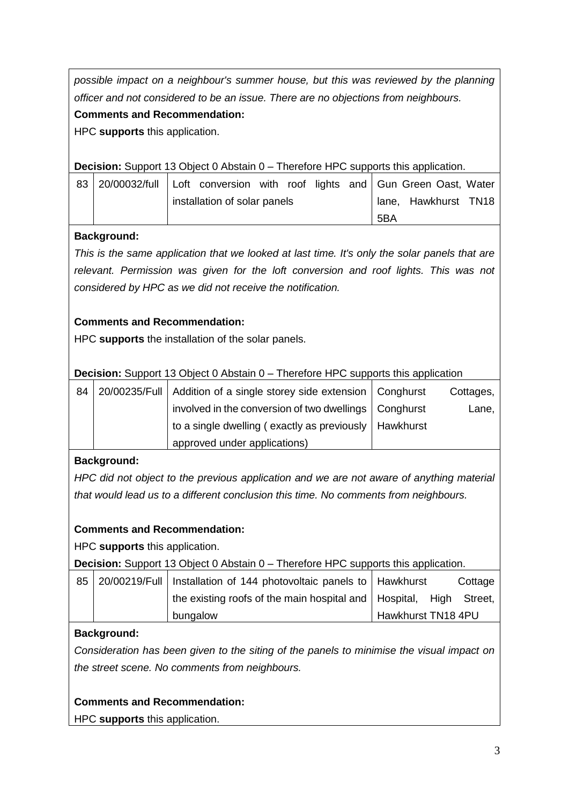*possible impact on a neighbour's summer house, but this was reviewed by the planning officer and not considered to be an issue. There are no objections from neighbours.* **Comments and Recommendation:**

HPC **supports** this application.

**Decision:** Support 13 Object 0 Abstain 0 – Therefore HPC supports this application.

| 83 20/00032/full Loft conversion with roof lights and Gun Green Oast, Water |  |  |  |  |  |  |                      |  |  |
|-----------------------------------------------------------------------------|--|--|--|--|--|--|----------------------|--|--|
| installation of solar panels                                                |  |  |  |  |  |  | lane, Hawkhurst TN18 |  |  |
|                                                                             |  |  |  |  |  |  | 5BA                  |  |  |

# **Background:**

*This is the same application that we looked at last time. It's only the solar panels that are relevant. Permission was given for the loft conversion and roof lights. This was not considered by HPC as we did not receive the notification.* 

# **Comments and Recommendation:**

HPC **supports** the installation of the solar panels.

#### **Decision:** Support 13 Object 0 Abstain 0 – Therefore HPC supports this application

| 84 | 20/00235/Full   Addition of a single storey side extension   Conghurst | Cottages, |
|----|------------------------------------------------------------------------|-----------|
|    | involved in the conversion of two dwellings   Conghurst                | Lane,     |
|    | to a single dwelling (exactly as previously   Hawkhurst                |           |
|    | approved under applications)                                           |           |

#### **Background:**

*HPC did not object to the previous application and we are not aware of anything material that would lead us to a different conclusion this time. No comments from neighbours.*

# **Comments and Recommendation:**

HPC **supports** this application.

**Decision:** Support 13 Object 0 Abstain 0 – Therefore HPC supports this application.

|  | 85 20/00219/Full   Installation of 144 photovoltaic panels to   Hawkhurst  |                    |  | Cottage |
|--|----------------------------------------------------------------------------|--------------------|--|---------|
|  | the existing roofs of the main hospital and $\vert$ Hospital, High Street, |                    |  |         |
|  | bungalow                                                                   | Hawkhurst TN18 4PU |  |         |

# **Background:**

*Consideration has been given to the siting of the panels to minimise the visual impact on the street scene. No comments from neighbours.*

# **Comments and Recommendation:**

HPC **supports** this application.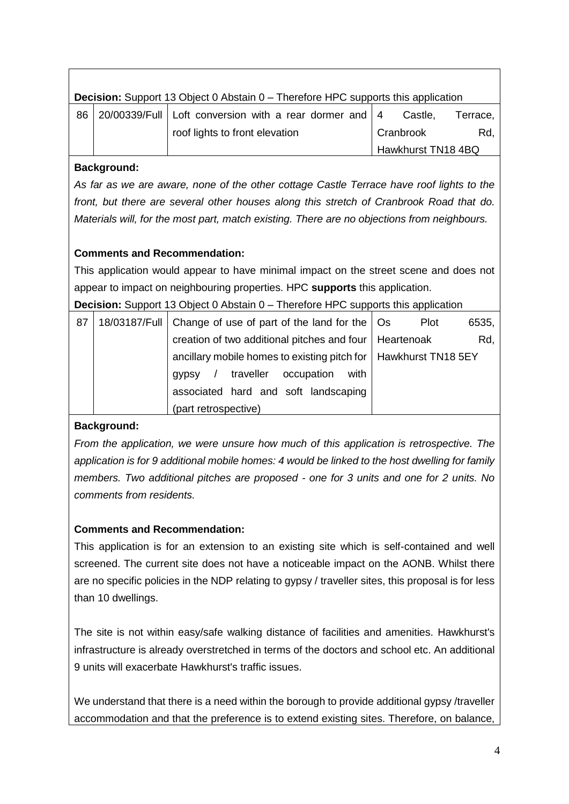|    | <b>Decision:</b> Support 13 Object 0 Abstain 0 – Therefore HPC supports this application |                                                            |           |                    |          |  |  |  |  |  |
|----|------------------------------------------------------------------------------------------|------------------------------------------------------------|-----------|--------------------|----------|--|--|--|--|--|
| 86 |                                                                                          | 20/00339/Full   Loft conversion with a rear dormer and   4 |           | Castle.            | Terrace. |  |  |  |  |  |
|    |                                                                                          | roof lights to front elevation                             | Cranbrook |                    | Rd.      |  |  |  |  |  |
|    |                                                                                          |                                                            |           | Hawkhurst TN18 4BQ |          |  |  |  |  |  |

#### **Background:**

*As far as we are aware, none of the other cottage Castle Terrace have roof lights to the front, but there are several other houses along this stretch of Cranbrook Road that do. Materials will, for the most part, match existing. There are no objections from neighbours.*

# **Comments and Recommendation:**

This application would appear to have minimal impact on the street scene and does not appear to impact on neighbouring properties. HPC **supports** this application.

**Decision:** Support 13 Object 0 Abstain 0 – Therefore HPC supports this application

| 87 | 18/03187/Full   Change of use of part of the land for the   Os    | Plot | 6535, |
|----|-------------------------------------------------------------------|------|-------|
|    | creation of two additional pitches and four   Heartenoak          |      | Rd,   |
|    | ancillary mobile homes to existing pitch for   Hawkhurst TN18 5EY |      |       |
|    | traveller occupation<br>with<br>gypsy                             |      |       |
|    | associated hard and soft landscaping                              |      |       |
|    | (part retrospective)                                              |      |       |

#### **Background:**

*From the application, we were unsure how much of this application is retrospective. The application is for 9 additional mobile homes: 4 would be linked to the host dwelling for family members. Two additional pitches are proposed - one for 3 units and one for 2 units. No comments from residents.*

# **Comments and Recommendation:**

This application is for an extension to an existing site which is self-contained and well screened. The current site does not have a noticeable impact on the AONB. Whilst there are no specific policies in the NDP relating to gypsy / traveller sites, this proposal is for less than 10 dwellings.

The site is not within easy/safe walking distance of facilities and amenities. Hawkhurst's infrastructure is already overstretched in terms of the doctors and school etc. An additional 9 units will exacerbate Hawkhurst's traffic issues.

We understand that there is a need within the borough to provide additional gypsy /traveller accommodation and that the preference is to extend existing sites. Therefore, on balance,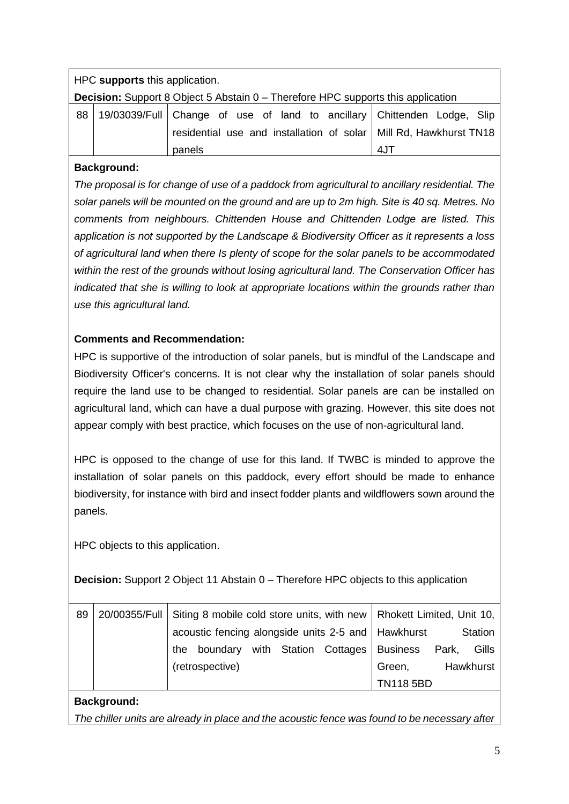|    | HPC supports this application.                                                          |                                                                         |     |  |  |  |  |  |  |  |
|----|-----------------------------------------------------------------------------------------|-------------------------------------------------------------------------|-----|--|--|--|--|--|--|--|
|    | <b>Decision:</b> Support 8 Object 5 Abstain 0 – Therefore HPC supports this application |                                                                         |     |  |  |  |  |  |  |  |
| 88 |                                                                                         | 19/03039/Full Change of use of land to ancillary Chittenden Lodge, Slip |     |  |  |  |  |  |  |  |
|    |                                                                                         | residential use and installation of solar   Mill Rd, Hawkhurst TN18     |     |  |  |  |  |  |  |  |
|    |                                                                                         | panels                                                                  | 4JT |  |  |  |  |  |  |  |

# **Background:**

*The proposal is for change of use of a paddock from agricultural to ancillary residential. The solar panels will be mounted on the ground and are up to 2m high. Site is 40 sq. Metres. No comments from neighbours. Chittenden House and Chittenden Lodge are listed. This application is not supported by the Landscape & Biodiversity Officer as it represents a loss of agricultural land when there Is plenty of scope for the solar panels to be accommodated within the rest of the grounds without losing agricultural land. The Conservation Officer has indicated that she is willing to look at appropriate locations within the grounds rather than use this agricultural land.*

# **Comments and Recommendation:**

HPC is supportive of the introduction of solar panels, but is mindful of the Landscape and Biodiversity Officer's concerns. It is not clear why the installation of solar panels should require the land use to be changed to residential. Solar panels are can be installed on agricultural land, which can have a dual purpose with grazing. However, this site does not appear comply with best practice, which focuses on the use of non-agricultural land.

HPC is opposed to the change of use for this land. If TWBC is minded to approve the installation of solar panels on this paddock, every effort should be made to enhance biodiversity, for instance with bird and insect fodder plants and wildflowers sown around the panels.

HPC objects to this application.

**Decision:** Support 2 Object 11 Abstain 0 – Therefore HPC objects to this application

| 89 |     | 20/00355/Full   Siting 8 mobile cold store units, with new   Rhokett Limited, Unit 10, |  |        |  |                                                      |       |         |  |
|----|-----|----------------------------------------------------------------------------------------|--|--------|--|------------------------------------------------------|-------|---------|--|
|    |     |                                                                                        |  |        |  | acoustic fencing alongside units 2-5 and   Hawkhurst |       | Station |  |
|    | the |                                                                                        |  |        |  | boundary with Station Cottages Business              | Park, | Gills   |  |
|    |     | (retrospective)                                                                        |  | Green, |  | Hawkhurst                                            |       |         |  |
|    |     |                                                                                        |  |        |  | <b>TN118 5BD</b>                                     |       |         |  |

# **Background:**

*The chiller units are already in place and the acoustic fence was found to be necessary after*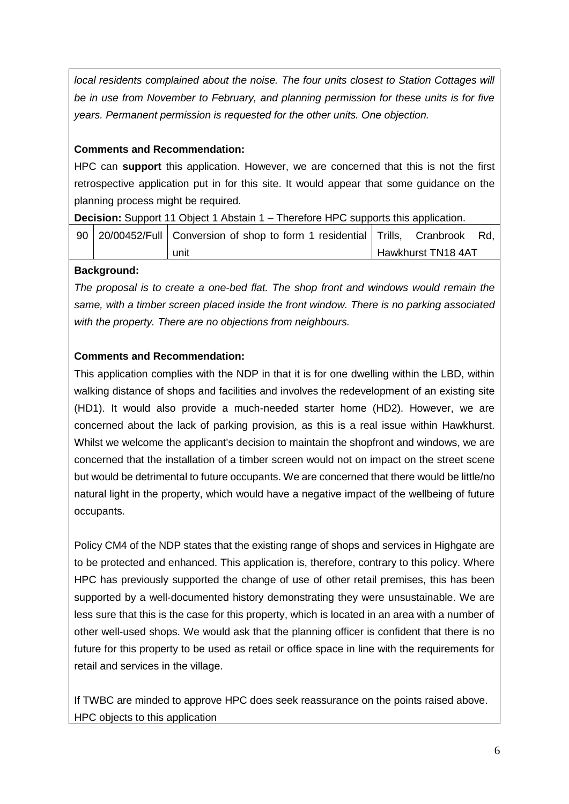*local residents complained about the noise. The four units closest to Station Cottages will be in use from November to February, and planning permission for these units is for five years. Permanent permission is requested for the other units. One objection.*

# **Comments and Recommendation:**

HPC can **support** this application. However, we are concerned that this is not the first retrospective application put in for this site. It would appear that some guidance on the planning process might be required.

**Decision:** Support 11 Object 1 Abstain 1 – Therefore HPC supports this application.

|  | 90   20/00452/Full   Conversion of shop to form 1 residential   Trills, Cranbrook Rd, |                    |  |
|--|---------------------------------------------------------------------------------------|--------------------|--|
|  | unit                                                                                  | Hawkhurst TN18 4AT |  |

#### **Background:**

*The proposal is to create a one-bed flat. The shop front and windows would remain the same, with a timber screen placed inside the front window. There is no parking associated with the property. There are no objections from neighbours.*

# **Comments and Recommendation:**

This application complies with the NDP in that it is for one dwelling within the LBD, within walking distance of shops and facilities and involves the redevelopment of an existing site (HD1). It would also provide a much-needed starter home (HD2). However, we are concerned about the lack of parking provision, as this is a real issue within Hawkhurst. Whilst we welcome the applicant's decision to maintain the shopfront and windows, we are concerned that the installation of a timber screen would not on impact on the street scene but would be detrimental to future occupants. We are concerned that there would be little/no natural light in the property, which would have a negative impact of the wellbeing of future occupants.

Policy CM4 of the NDP states that the existing range of shops and services in Highgate are to be protected and enhanced. This application is, therefore, contrary to this policy. Where HPC has previously supported the change of use of other retail premises, this has been supported by a well-documented history demonstrating they were unsustainable. We are less sure that this is the case for this property, which is located in an area with a number of other well-used shops. We would ask that the planning officer is confident that there is no future for this property to be used as retail or office space in line with the requirements for retail and services in the village.

If TWBC are minded to approve HPC does seek reassurance on the points raised above. HPC objects to this application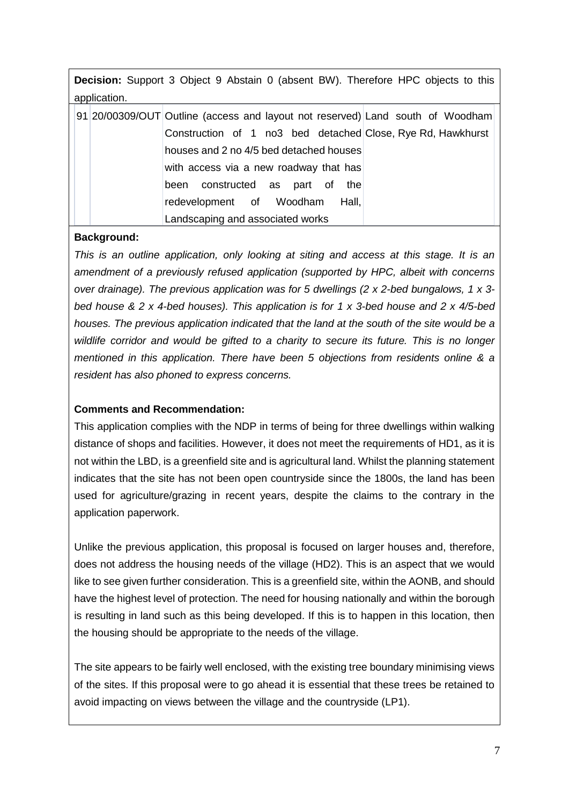**Decision:** Support 3 Object 9 Abstain 0 (absent BW). Therefore HPC objects to this application.

|  | 91 20/00309/OUT Outline (access and layout not reserved) Land south of Woodham |
|--|--------------------------------------------------------------------------------|
|  | Construction of 1 no3 bed detached Close, Rye Rd, Hawkhurst                    |
|  | houses and 2 no 4/5 bed detached houses                                        |
|  | with access via a new roadway that has                                         |
|  | been constructed as part of the                                                |
|  | redevelopment of Woodham<br>Hall, I                                            |
|  | Landscaping and associated works                                               |

#### **Background:**

*This is an outline application, only looking at siting and access at this stage. It is an amendment of a previously refused application (supported by HPC, albeit with concerns over drainage). The previous application was for 5 dwellings (2 x 2-bed bungalows, 1 x 3 bed house & 2 x 4-bed houses). This application is for 1 x 3-bed house and 2 x 4/5-bed houses. The previous application indicated that the land at the south of the site would be a wildlife corridor and would be gifted to a charity to secure its future. This is no longer mentioned in this application. There have been 5 objections from residents online & a resident has also phoned to express concerns.*

#### **Comments and Recommendation:**

This application complies with the NDP in terms of being for three dwellings within walking distance of shops and facilities. However, it does not meet the requirements of HD1, as it is not within the LBD, is a greenfield site and is agricultural land. Whilst the planning statement indicates that the site has not been open countryside since the 1800s, the land has been used for agriculture/grazing in recent years, despite the claims to the contrary in the application paperwork.

Unlike the previous application, this proposal is focused on larger houses and, therefore, does not address the housing needs of the village (HD2). This is an aspect that we would like to see given further consideration. This is a greenfield site, within the AONB, and should have the highest level of protection. The need for housing nationally and within the borough is resulting in land such as this being developed. If this is to happen in this location, then the housing should be appropriate to the needs of the village.

The site appears to be fairly well enclosed, with the existing tree boundary minimising views of the sites. If this proposal were to go ahead it is essential that these trees be retained to avoid impacting on views between the village and the countryside (LP1).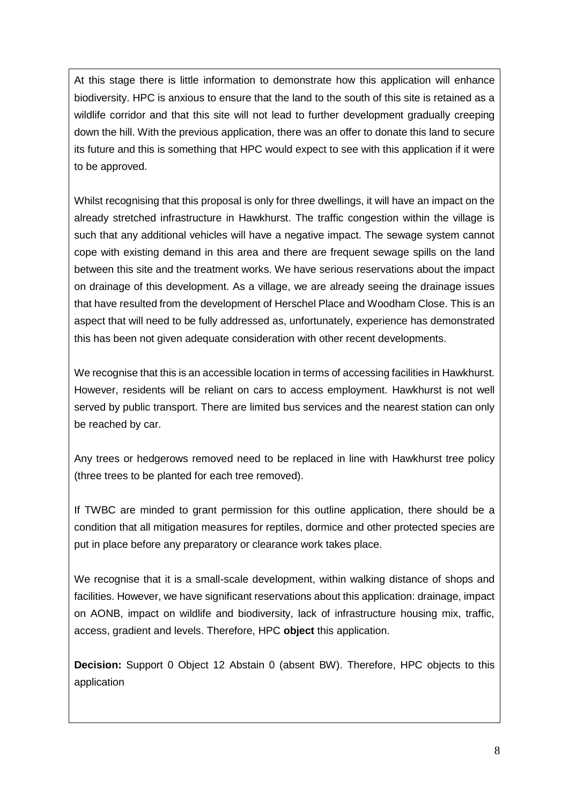At this stage there is little information to demonstrate how this application will enhance biodiversity. HPC is anxious to ensure that the land to the south of this site is retained as a wildlife corridor and that this site will not lead to further development gradually creeping down the hill. With the previous application, there was an offer to donate this land to secure its future and this is something that HPC would expect to see with this application if it were to be approved.

Whilst recognising that this proposal is only for three dwellings, it will have an impact on the already stretched infrastructure in Hawkhurst. The traffic congestion within the village is such that any additional vehicles will have a negative impact. The sewage system cannot cope with existing demand in this area and there are frequent sewage spills on the land between this site and the treatment works. We have serious reservations about the impact on drainage of this development. As a village, we are already seeing the drainage issues that have resulted from the development of Herschel Place and Woodham Close. This is an aspect that will need to be fully addressed as, unfortunately, experience has demonstrated this has been not given adequate consideration with other recent developments.

We recognise that this is an accessible location in terms of accessing facilities in Hawkhurst. However, residents will be reliant on cars to access employment. Hawkhurst is not well served by public transport. There are limited bus services and the nearest station can only be reached by car.

Any trees or hedgerows removed need to be replaced in line with Hawkhurst tree policy (three trees to be planted for each tree removed).

If TWBC are minded to grant permission for this outline application, there should be a condition that all mitigation measures for reptiles, dormice and other protected species are put in place before any preparatory or clearance work takes place.

We recognise that it is a small-scale development, within walking distance of shops and facilities. However, we have significant reservations about this application: drainage, impact on AONB, impact on wildlife and biodiversity, lack of infrastructure housing mix, traffic, access, gradient and levels. Therefore, HPC **object** this application.

**Decision:** Support 0 Object 12 Abstain 0 (absent BW). Therefore, HPC objects to this application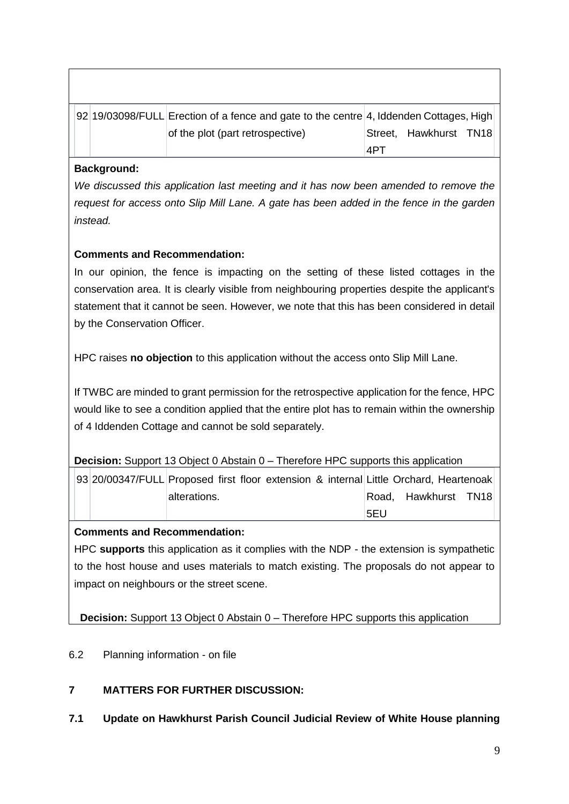|  | 92 19/03098/FULL Erection of a fence and gate to the centre 4, Iddenden Cottages, High |     |                        |  |
|--|----------------------------------------------------------------------------------------|-----|------------------------|--|
|  | of the plot (part retrospective)                                                       |     | Street, Hawkhurst TN18 |  |
|  |                                                                                        | 14P |                        |  |

# **Background:**

*We discussed this application last meeting and it has now been amended to remove the request for access onto Slip Mill Lane. A gate has been added in the fence in the garden instead.* 

# **Comments and Recommendation:**

In our opinion, the fence is impacting on the setting of these listed cottages in the conservation area. It is clearly visible from neighbouring properties despite the applicant's statement that it cannot be seen. However, we note that this has been considered in detail by the Conservation Officer.

HPC raises **no objection** to this application without the access onto Slip Mill Lane.

If TWBC are minded to grant permission for the retrospective application for the fence, HPC would like to see a condition applied that the entire plot has to remain within the ownership of 4 Iddenden Cottage and cannot be sold separately.

**Decision:** Support 13 Object 0 Abstain 0 – Therefore HPC supports this application

| 93 20/00347/FULL Proposed first floor extension & internal Little Orchard, Heartenoak |              |  |  |     |                      |  |
|---------------------------------------------------------------------------------------|--------------|--|--|-----|----------------------|--|
|                                                                                       | alterations. |  |  |     | Road, Hawkhurst TN18 |  |
|                                                                                       |              |  |  | 5FU |                      |  |

#### **Comments and Recommendation:**

HPC **supports** this application as it complies with the NDP - the extension is sympathetic to the host house and uses materials to match existing. The proposals do not appear to impact on neighbours or the street scene.

**Decision:** Support 13 Object 0 Abstain 0 – Therefore HPC supports this application

- 6.2 Planning information on file
- **7 MATTERS FOR FURTHER DISCUSSION:**
- **7.1 Update on Hawkhurst Parish Council Judicial Review of White House planning**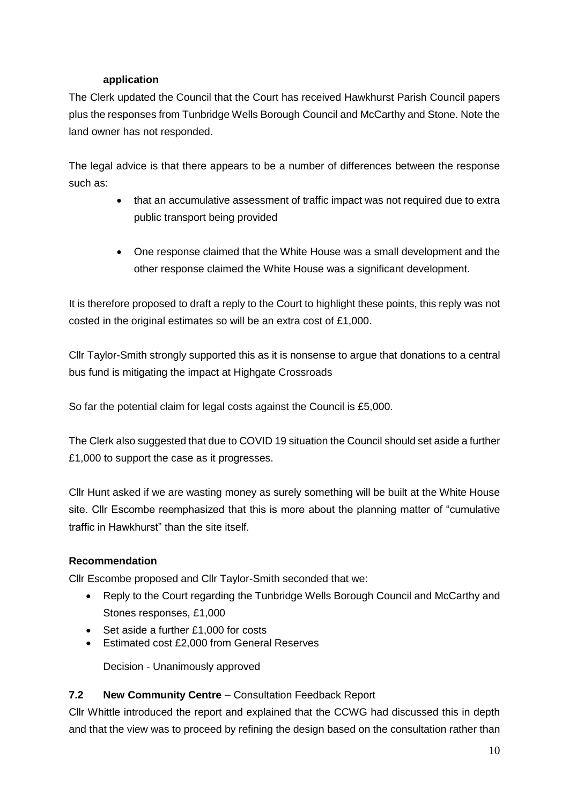#### **application**

The Clerk updated the Council that the Court has received Hawkhurst Parish Council papers plus the responses from Tunbridge Wells Borough Council and McCarthy and Stone. Note the land owner has not responded.

The legal advice is that there appears to be a number of differences between the response such as:

- that an accumulative assessment of traffic impact was not required due to extra public transport being provided
- One response claimed that the White House was a small development and the other response claimed the White House was a significant development.

It is therefore proposed to draft a reply to the Court to highlight these points, this reply was not costed in the original estimates so will be an extra cost of £1,000.

Cllr Taylor-Smith strongly supported this as it is nonsense to argue that donations to a central bus fund is mitigating the impact at Highgate Crossroads

So far the potential claim for legal costs against the Council is £5,000.

The Clerk also suggested that due to COVID 19 situation the Council should set aside a further £1,000 to support the case as it progresses.

Cllr Hunt asked if we are wasting money as surely something will be built at the White House site. Cllr Escombe reemphasized that this is more about the planning matter of "cumulative traffic in Hawkhurst" than the site itself.

#### **Recommendation**

Cllr Escombe proposed and Cllr Taylor-Smith seconded that we:

- Reply to the Court regarding the Tunbridge Wells Borough Council and McCarthy and Stones responses, £1,000
- Set aside a further £1,000 for costs
- **Estimated cost £2,000 from General Reserves**

Decision - Unanimously approved

#### **7.2 New Community Centre** – Consultation Feedback Report

Cllr Whittle introduced the report and explained that the CCWG had discussed this in depth and that the view was to proceed by refining the design based on the consultation rather than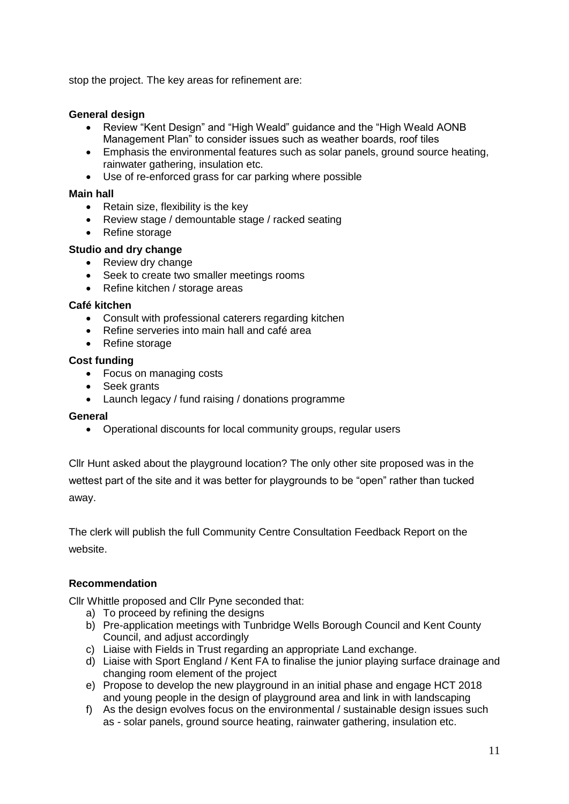stop the project. The key areas for refinement are:

#### **General design**

- Review "Kent Design" and "High Weald" guidance and the "High Weald AONB Management Plan" to consider issues such as weather boards, roof tiles
- Emphasis the environmental features such as solar panels, ground source heating, rainwater gathering, insulation etc.
- Use of re-enforced grass for car parking where possible

#### **Main hall**

- Retain size, flexibility is the key
- Review stage / demountable stage / racked seating
- Refine storage

#### **Studio and dry change**

- Review dry change
- Seek to create two smaller meetings rooms
- Refine kitchen / storage areas

#### **Café kitchen**

- Consult with professional caterers regarding kitchen
- Refine serveries into main hall and café area
- Refine storage

#### **Cost funding**

- Focus on managing costs
- Seek grants
- Launch legacy / fund raising / donations programme

#### **General**

Operational discounts for local community groups, regular users

Cllr Hunt asked about the playground location? The only other site proposed was in the wettest part of the site and it was better for playgrounds to be "open" rather than tucked away.

The clerk will publish the full Community Centre Consultation Feedback Report on the website.

#### **Recommendation**

Cllr Whittle proposed and Cllr Pyne seconded that:

- a) To proceed by refining the designs
- b) Pre-application meetings with Tunbridge Wells Borough Council and Kent County Council, and adjust accordingly
- c) Liaise with Fields in Trust regarding an appropriate Land exchange.
- d) Liaise with Sport England / Kent FA to finalise the junior playing surface drainage and changing room element of the project
- e) Propose to develop the new playground in an initial phase and engage HCT 2018 and young people in the design of playground area and link in with landscaping
- f) As the design evolves focus on the environmental / sustainable design issues such as - solar panels, ground source heating, rainwater gathering, insulation etc.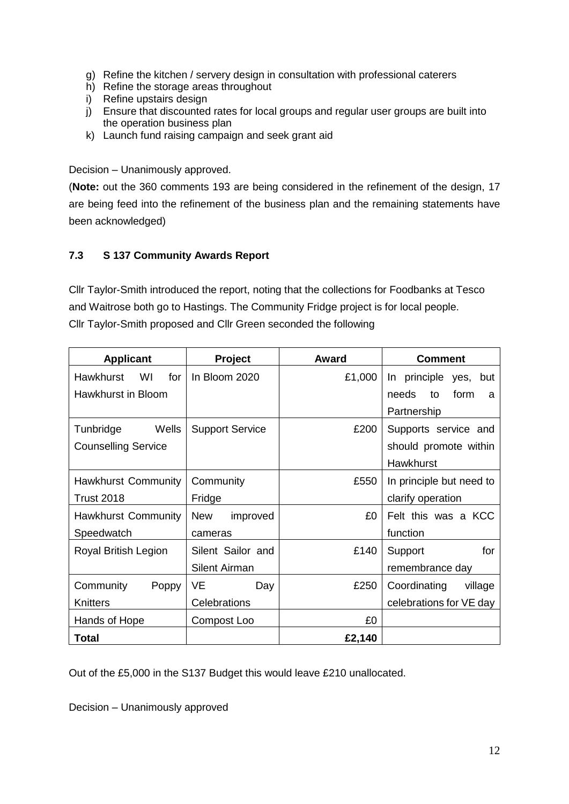- g) Refine the kitchen / servery design in consultation with professional caterers
- h) Refine the storage areas throughout
- i) Refine upstairs design
- j) Ensure that discounted rates for local groups and regular user groups are built into the operation business plan
- k) Launch fund raising campaign and seek grant aid

Decision – Unanimously approved.

(**Note:** out the 360 comments 193 are being considered in the refinement of the design, 17 are being feed into the refinement of the business plan and the remaining statements have been acknowledged)

#### **7.3 S 137 Community Awards Report**

Cllr Taylor-Smith introduced the report, noting that the collections for Foodbanks at Tesco and Waitrose both go to Hastings. The Community Fridge project is for local people. Cllr Taylor-Smith proposed and Cllr Green seconded the following

| <b>Applicant</b>           | Project                | Award  | <b>Comment</b>           |
|----------------------------|------------------------|--------|--------------------------|
| Hawkhurst WI<br>for        | In Bloom 2020          | £1,000 | In principle yes, but    |
| Hawkhurst in Bloom         |                        |        | form<br>needs<br>to<br>a |
|                            |                        |        | Partnership              |
| Wells<br>Tunbridge         | <b>Support Service</b> | £200   | Supports service and     |
| <b>Counselling Service</b> |                        |        | should promote within    |
|                            |                        |        | <b>Hawkhurst</b>         |
| <b>Hawkhurst Community</b> | Community              | £550   | In principle but need to |
| <b>Trust 2018</b>          | Fridge                 |        | clarify operation        |
| <b>Hawkhurst Community</b> | <b>New</b><br>improved | £0     | Felt this was a KCC      |
| Speedwatch                 | cameras                |        | function                 |
| Royal British Legion       | Silent Sailor and      | £140   | for<br>Support           |
|                            | Silent Airman          |        | remembrance day          |
| Community<br>Poppy         | VE<br>Day              | £250   | Coordinating<br>village  |
| Knitters                   | Celebrations           |        | celebrations for VE day  |
| Hands of Hope              | Compost Loo            | £0     |                          |
| <b>Total</b>               |                        | £2,140 |                          |

Out of the £5,000 in the S137 Budget this would leave £210 unallocated.

Decision – Unanimously approved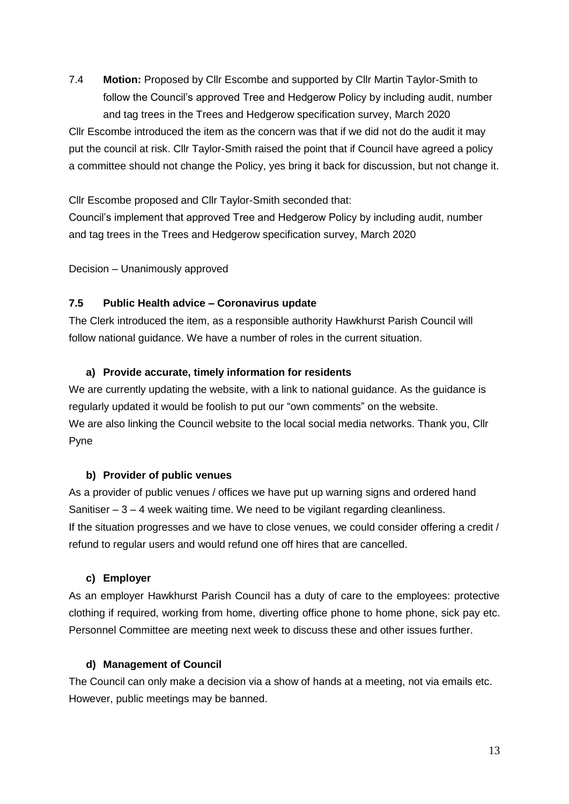7.4 **Motion:** Proposed by Cllr Escombe and supported by Cllr Martin Taylor-Smith to follow the Council's approved Tree and Hedgerow Policy by including audit, number and tag trees in the Trees and Hedgerow specification survey, March 2020

Cllr Escombe introduced the item as the concern was that if we did not do the audit it may put the council at risk. Cllr Taylor-Smith raised the point that if Council have agreed a policy a committee should not change the Policy, yes bring it back for discussion, but not change it.

Cllr Escombe proposed and Cllr Taylor-Smith seconded that: Council's implement that approved Tree and Hedgerow Policy by including audit, number and tag trees in the Trees and Hedgerow specification survey, March 2020

Decision – Unanimously approved

#### **7.5 Public Health advice – Coronavirus update**

The Clerk introduced the item, as a responsible authority Hawkhurst Parish Council will follow national guidance. We have a number of roles in the current situation.

#### **a) Provide accurate, timely information for residents**

We are currently updating the website, with a link to national guidance. As the guidance is regularly updated it would be foolish to put our "own comments" on the website. We are also linking the Council website to the local social media networks. Thank you, Cllr Pyne

#### **b) Provider of public venues**

As a provider of public venues / offices we have put up warning signs and ordered hand Sanitiser  $-3 - 4$  week waiting time. We need to be vigilant regarding cleanliness. If the situation progresses and we have to close venues, we could consider offering a credit / refund to regular users and would refund one off hires that are cancelled.

#### **c) Employer**

As an employer Hawkhurst Parish Council has a duty of care to the employees: protective clothing if required, working from home, diverting office phone to home phone, sick pay etc. Personnel Committee are meeting next week to discuss these and other issues further.

#### **d) Management of Council**

The Council can only make a decision via a show of hands at a meeting, not via emails etc. However, public meetings may be banned.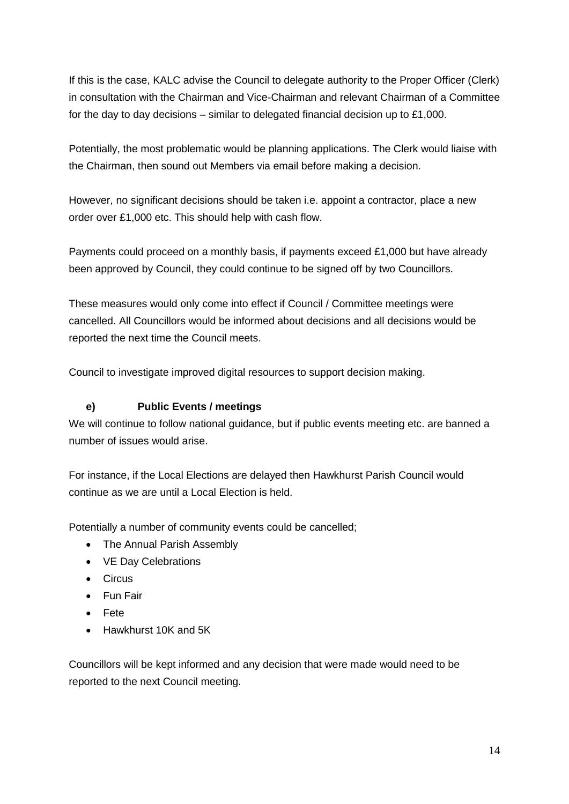If this is the case, KALC advise the Council to delegate authority to the Proper Officer (Clerk) in consultation with the Chairman and Vice-Chairman and relevant Chairman of a Committee for the day to day decisions – similar to delegated financial decision up to £1,000.

Potentially, the most problematic would be planning applications. The Clerk would liaise with the Chairman, then sound out Members via email before making a decision.

However, no significant decisions should be taken i.e. appoint a contractor, place a new order over £1,000 etc. This should help with cash flow.

Payments could proceed on a monthly basis, if payments exceed £1,000 but have already been approved by Council, they could continue to be signed off by two Councillors.

These measures would only come into effect if Council / Committee meetings were cancelled. All Councillors would be informed about decisions and all decisions would be reported the next time the Council meets.

Council to investigate improved digital resources to support decision making.

# **e) Public Events / meetings**

We will continue to follow national guidance, but if public events meeting etc. are banned a number of issues would arise.

For instance, if the Local Elections are delayed then Hawkhurst Parish Council would continue as we are until a Local Election is held.

Potentially a number of community events could be cancelled;

- The Annual Parish Assembly
- VE Day Celebrations
- Circus
- **•** Fun Fair
- Fete
- Hawkhurst 10K and 5K

Councillors will be kept informed and any decision that were made would need to be reported to the next Council meeting.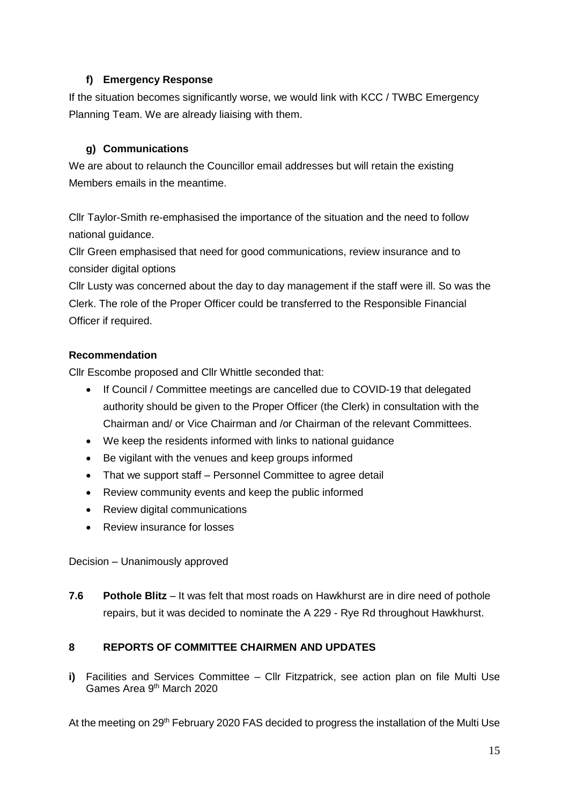#### **f) Emergency Response**

If the situation becomes significantly worse, we would link with KCC / TWBC Emergency Planning Team. We are already liaising with them.

# **g) Communications**

We are about to relaunch the Councillor email addresses but will retain the existing Members emails in the meantime.

Cllr Taylor-Smith re-emphasised the importance of the situation and the need to follow national guidance.

Cllr Green emphasised that need for good communications, review insurance and to consider digital options

Cllr Lusty was concerned about the day to day management if the staff were ill. So was the Clerk. The role of the Proper Officer could be transferred to the Responsible Financial Officer if required.

# **Recommendation**

Cllr Escombe proposed and Cllr Whittle seconded that:

- If Council / Committee meetings are cancelled due to COVID-19 that delegated authority should be given to the Proper Officer (the Clerk) in consultation with the Chairman and/ or Vice Chairman and /or Chairman of the relevant Committees.
- We keep the residents informed with links to national guidance
- Be vigilant with the venues and keep groups informed
- That we support staff Personnel Committee to agree detail
- Review community events and keep the public informed
- Review digital communications
- Review insurance for losses

Decision – Unanimously approved

**7.6 Pothole Blitz** – It was felt that most roads on Hawkhurst are in dire need of pothole repairs, but it was decided to nominate the A 229 - Rye Rd throughout Hawkhurst.

#### **8 REPORTS OF COMMITTEE CHAIRMEN AND UPDATES**

**i)** Facilities and Services Committee – Cllr Fitzpatrick, see action plan on file Multi Use Games Area 9th March 2020

At the meeting on 29<sup>th</sup> February 2020 FAS decided to progress the installation of the Multi Use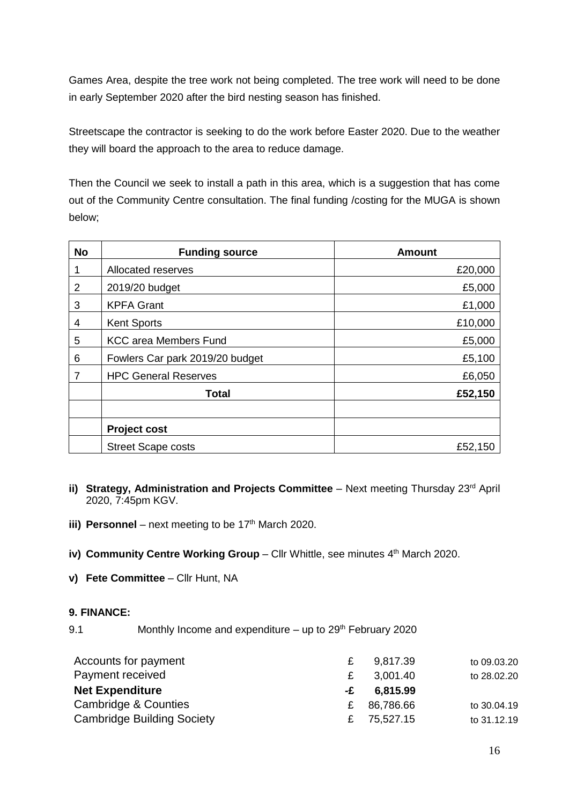Games Area, despite the tree work not being completed. The tree work will need to be done in early September 2020 after the bird nesting season has finished.

Streetscape the contractor is seeking to do the work before Easter 2020. Due to the weather they will board the approach to the area to reduce damage.

Then the Council we seek to install a path in this area, which is a suggestion that has come out of the Community Centre consultation. The final funding /costing for the MUGA is shown below;

| <b>No</b>      | <b>Funding source</b>           | <b>Amount</b> |
|----------------|---------------------------------|---------------|
| 1              | Allocated reserves              | £20,000       |
| $\overline{2}$ | 2019/20 budget                  | £5,000        |
| 3              | <b>KPFA Grant</b>               | £1,000        |
| 4              | <b>Kent Sports</b>              | £10,000       |
| 5              | <b>KCC area Members Fund</b>    | £5,000        |
| 6              | Fowlers Car park 2019/20 budget | £5,100        |
| 7              | <b>HPC General Reserves</b>     | £6,050        |
|                | <b>Total</b>                    | £52,150       |
|                |                                 |               |
|                | <b>Project cost</b>             |               |
|                | <b>Street Scape costs</b>       | £52,150       |

- **ii) Strategy, Administration and Projects Committee** Next meeting Thursday 23<sup>rd</sup> April 2020, 7:45pm KGV.
- **iii) Personnel** next meeting to be  $17<sup>th</sup>$  March 2020.
- iv) Community Centre Working Group Cllr Whittle, see minutes 4<sup>th</sup> March 2020.
- **v) Fete Committee** Cllr Hunt, NA

#### **9. FINANCE:**

9.1 Monthly Income and expenditure – up to  $29<sup>th</sup>$  February 2020

| Accounts for payment              | £  | 9,817.39  | to 09.03.20 |
|-----------------------------------|----|-----------|-------------|
| Payment received                  | £  | 3,001.40  | to 28.02.20 |
| <b>Net Expenditure</b>            | -£ | 6,815.99  |             |
| Cambridge & Counties              | £  | 86,786.66 | to 30.04.19 |
| <b>Cambridge Building Society</b> | £  | 75,527.15 | to 31.12.19 |